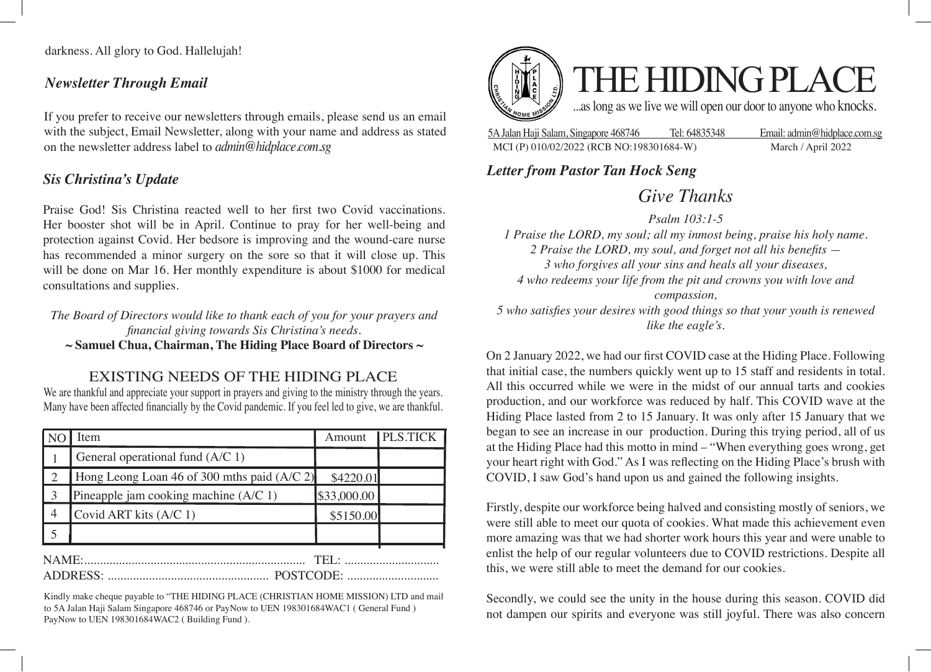darkness. All glory to God. Hallelujah!

#### *Newsletter Through Email*

If you prefer to receive our newsletters through emails, please send us an email with the subject, Email Newsletter, along with your name and address as stated on the newsletter address label to *admin@hidplace.com.sg*

### *Sis Christina's Update*

Praise God! Sis Christina reacted well to her first two Covid vaccinations. Her booster shot will be in April. Continue to pray for her well-being and protection against Covid. Her bedsore is improving and the wound-care nurse has recommended a minor surgery on the sore so that it will close up. This will be done on Mar 16. Her monthly expenditure is about \$1000 for medical consultations and supplies.

*The Board of Directors would like to thank each of you for your prayers and financial giving towards Sis Christina's needs.*

**~ Samuel Chua, Chairman, The Hiding Place Board of Directors ~**

### EXISTING NEEDS OF THE HIDING PLACE

We are thankful and appreciate your support in prayers and giving to the ministry through the years. Many have been affected financially by the Covid pandemic. If you feel led to give, we are thankful.

|                               | Item                                          | Amount      | <b>PLS.TICK</b> |
|-------------------------------|-----------------------------------------------|-------------|-----------------|
|                               | General operational fund (A/C 1)              |             |                 |
|                               | Hong Leong Loan 46 of 300 mths paid $(A/C 2)$ | \$4220.01   |                 |
|                               | Pineapple jam cooking machine (A/C 1)         | \$33,000.00 |                 |
| $\overline{4}$                | Covid ART kits (A/C 1)                        | \$5150.00   |                 |
|                               |                                               |             |                 |
| NAME:<br>$THI$ .<br>POSTCODE: |                                               |             |                 |

Kindly make cheque payable to "THE HIDING PLACE (CHRISTIAN HOME MISSION) LTD and mail to 5A Jalan Haji Salam Singapore 468746 or PayNow to UEN 198301684WAC1 ( General Fund ) PayNow to UEN 198301684WAC2 ( Building Fund ).



5A Jalan Haji Salam, Singapore 468746 Tel: 64835348 Email: admin@hidplace.com.sg MCI (P) 010/02/2022 (RCB NO:198301684-W) March / April 2022

## *Letter from Pastor Tan Hock Seng*

# *Give Thanks*

*Psalm 103:1-5 1 Praise the LORD, my soul; all my inmost being, praise his holy name. 2 Praise the LORD, my soul, and forget not all his benefits — 3 who forgives all your sins and heals all your diseases, 4 who redeems your life from the pit and crowns you with love and compassion, 5 who satisfies your desires with good things so that your youth is renewed* 

*like the eagle's.*

On 2 January 2022, we had our first COVID case at the Hiding Place. Following that initial case, the numbers quickly went up to 15 staff and residents in total. All this occurred while we were in the midst of our annual tarts and cookies production, and our workforce was reduced by half. This COVID wave at the Hiding Place lasted from 2 to 15 January. It was only after 15 January that we began to see an increase in our production. During this trying period, all of us at the Hiding Place had this motto in mind – "When everything goes wrong, get your heart right with God." As I was reflecting on the Hiding Place's brush with COVID, I saw God's hand upon us and gained the following insights.

Firstly, despite our workforce being halved and consisting mostly of seniors, we were still able to meet our quota of cookies. What made this achievement even more amazing was that we had shorter work hours this year and were unable to enlist the help of our regular volunteers due to COVID restrictions. Despite all this, we were still able to meet the demand for our cookies.

Secondly, we could see the unity in the house during this season. COVID did not dampen our spirits and everyone was still joyful. There was also concern